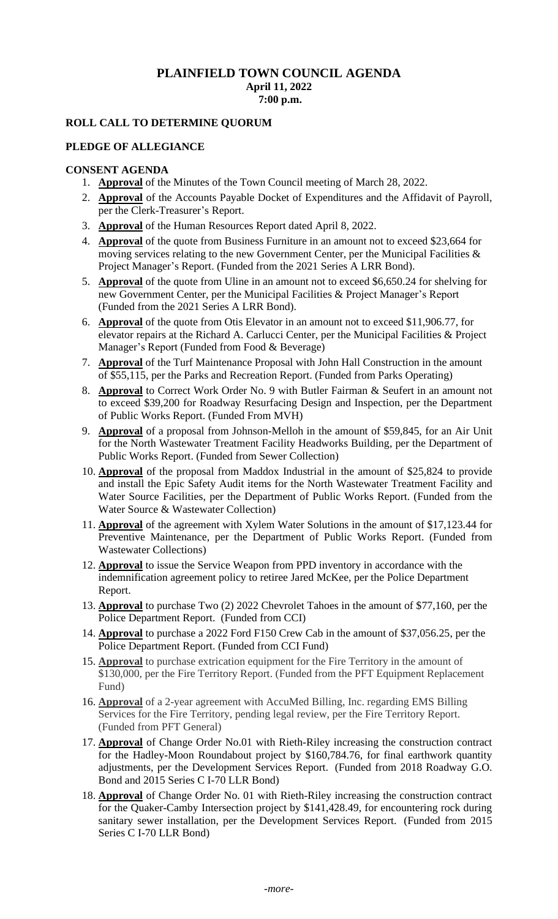# **PLAINFIELD TOWN COUNCIL AGENDA April 11, 2022 7:00 p.m.**

# **ROLL CALL TO DETERMINE QUORUM**

## **PLEDGE OF ALLEGIANCE**

### **CONSENT AGENDA**

- 1. **Approval** of the Minutes of the Town Council meeting of March 28, 2022.
- 2. **Approval** of the Accounts Payable Docket of Expenditures and the Affidavit of Payroll, per the Clerk-Treasurer's Report.
- 3. **Approval** of the Human Resources Report dated April 8, 2022.
- 4. **Approval** of the quote from Business Furniture in an amount not to exceed \$23,664 for moving services relating to the new Government Center, per the Municipal Facilities & Project Manager's Report. (Funded from the 2021 Series A LRR Bond).
- 5. **Approval** of the quote from Uline in an amount not to exceed \$6,650.24 for shelving for new Government Center, per the Municipal Facilities & Project Manager's Report (Funded from the 2021 Series A LRR Bond).
- 6. **Approval** of the quote from Otis Elevator in an amount not to exceed \$11,906.77, for elevator repairs at the Richard A. Carlucci Center, per the Municipal Facilities & Project Manager's Report (Funded from Food & Beverage)
- 7. **Approval** of the Turf Maintenance Proposal with John Hall Construction in the amount of \$55,115, per the Parks and Recreation Report. (Funded from Parks Operating)
- 8. **Approval** to Correct Work Order No. 9 with Butler Fairman & Seufert in an amount not to exceed \$39,200 for Roadway Resurfacing Design and Inspection, per the Department of Public Works Report. (Funded From MVH)
- 9. **Approval** of a proposal from Johnson-Melloh in the amount of \$59,845, for an Air Unit for the North Wastewater Treatment Facility Headworks Building, per the Department of Public Works Report. (Funded from Sewer Collection)
- 10. **Approval** of the proposal from Maddox Industrial in the amount of \$25,824 to provide and install the Epic Safety Audit items for the North Wastewater Treatment Facility and Water Source Facilities, per the Department of Public Works Report. (Funded from the Water Source & Wastewater Collection)
- 11. **Approval** of the agreement with Xylem Water Solutions in the amount of \$17,123.44 for Preventive Maintenance, per the Department of Public Works Report. (Funded from Wastewater Collections)
- 12. **Approval** to issue the Service Weapon from PPD inventory in accordance with the indemnification agreement policy to retiree Jared McKee, per the Police Department Report.
- 13. **Approval** to purchase Two (2) 2022 Chevrolet Tahoes in the amount of \$77,160, per the Police Department Report. (Funded from CCI)
- 14. **Approval** to purchase a 2022 Ford F150 Crew Cab in the amount of \$37,056.25, per the Police Department Report. (Funded from CCI Fund)
- 15. **Approval** to purchase extrication equipment for the Fire Territory in the amount of \$130,000, per the Fire Territory Report. (Funded from the PFT Equipment Replacement Fund)
- 16. **Approval** of a 2-year agreement with AccuMed Billing, Inc. regarding EMS Billing Services for the Fire Territory, pending legal review, per the Fire Territory Report. (Funded from PFT General)
- 17. **Approval** of Change Order No.01 with Rieth-Riley increasing the construction contract for the Hadley-Moon Roundabout project by \$160,784.76, for final earthwork quantity adjustments, per the Development Services Report. (Funded from 2018 Roadway G.O. Bond and 2015 Series C I-70 LLR Bond)
- 18. **Approval** of Change Order No. 01 with Rieth-Riley increasing the construction contract for the Quaker-Camby Intersection project by \$141,428.49, for encountering rock during sanitary sewer installation, per the Development Services Report. (Funded from 2015 Series C I-70 LLR Bond)